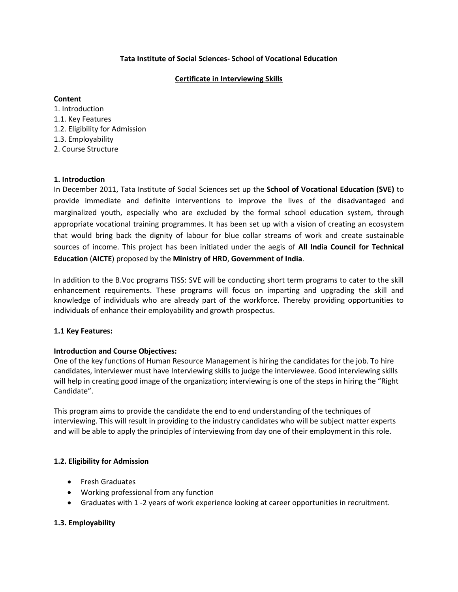## **Tata Institute of Social Sciences- School of Vocational Education**

# **Certificate in Interviewing Skills**

### **Content**

1. Introduction 1.1. Key Features 1.2. Eligibility for Admission 1.3. Employability

# 2. Course Structure

# **1. Introduction**

In December 2011, Tata Institute of Social Sciences set up the **School of Vocational Education (SVE)** to provide immediate and definite interventions to improve the lives of the disadvantaged and marginalized youth, especially who are excluded by the formal school education system, through appropriate vocational training programmes. It has been set up with a vision of creating an ecosystem that would bring back the dignity of labour for blue collar streams of work and create sustainable sources of income. This project has been initiated under the aegis of **All India Council for Technical Education** (**AICTE**) proposed by the **Ministry of HRD**, **Government of India**.

In addition to the B.Voc programs TISS: SVE will be conducting short term programs to cater to the skill enhancement requirements. These programs will focus on imparting and upgrading the skill and knowledge of individuals who are already part of the workforce. Thereby providing opportunities to individuals of enhance their employability and growth prospectus.

### **1.1 Key Features:**

# **Introduction and Course Objectives:**

One of the key functions of Human Resource Management is hiring the candidates for the job. To hire candidates, interviewer must have Interviewing skills to judge the interviewee. Good interviewing skills will help in creating good image of the organization; interviewing is one of the steps in hiring the "Right Candidate".

This program aims to provide the candidate the end to end understanding of the techniques of interviewing. This will result in providing to the industry candidates who will be subject matter experts and will be able to apply the principles of interviewing from day one of their employment in this role.

### **1.2. Eligibility for Admission**

- **•** Fresh Graduates
- Working professional from any function
- Graduates with 1 -2 years of work experience looking at career opportunities in recruitment.

# **1.3. Employability**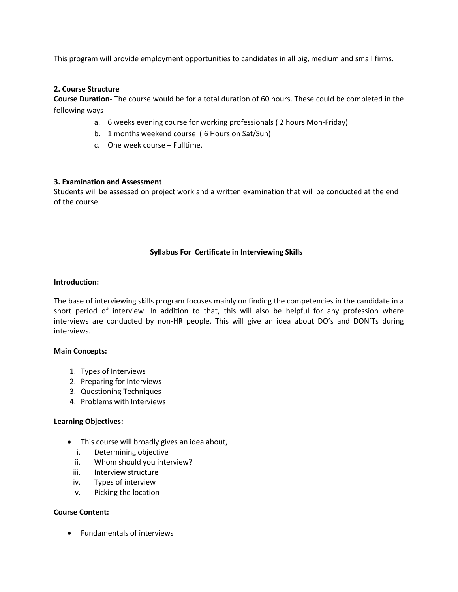This program will provide employment opportunities to candidates in all big, medium and small firms.

### **2. Course Structure**

**Course Duration-** The course would be for a total duration of 60 hours. These could be completed in the following ways-

- a. 6 weeks evening course for working professionals ( 2 hours Mon-Friday)
- b. 1 months weekend course ( 6 Hours on Sat/Sun)
- c. One week course Fulltime.

### **3. Examination and Assessment**

Students will be assessed on project work and a written examination that will be conducted at the end of the course.

### **Syllabus For Certificate in Interviewing Skills**

#### **Introduction:**

The base of interviewing skills program focuses mainly on finding the competencies in the candidate in a short period of interview. In addition to that, this will also be helpful for any profession where interviews are conducted by non-HR people. This will give an idea about DO's and DON'Ts during interviews.

#### **Main Concepts:**

- 1. Types of Interviews
- 2. Preparing for Interviews
- 3. Questioning Techniques
- 4. Problems with Interviews

#### **Learning Objectives:**

- This course will broadly gives an idea about,
	- i. Determining objective
	- ii. Whom should you interview?
	- iii. Interview structure
	- iv. Types of interview
	- v. Picking the location

#### **Course Content:**

Fundamentals of interviews